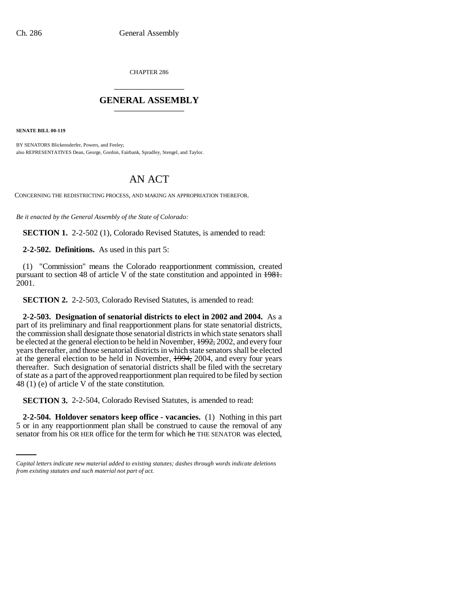CHAPTER 286 \_\_\_\_\_\_\_\_\_\_\_\_\_\_\_

## **GENERAL ASSEMBLY** \_\_\_\_\_\_\_\_\_\_\_\_\_\_\_

**SENATE BILL 00-119** 

BY SENATORS Blickensderfer, Powers, and Feeley; also REPRESENTATIVES Dean, George, Gordon, Fairbank, Spradley, Stengel, and Taylor.

# AN ACT

CONCERNING THE REDISTRICTING PROCESS, AND MAKING AN APPROPRIATION THEREFOR.

*Be it enacted by the General Assembly of the State of Colorado:*

**SECTION 1.** 2-2-502 (1), Colorado Revised Statutes, is amended to read:

**2-2-502. Definitions.** As used in this part 5:

(1) "Commission" means the Colorado reapportionment commission, created pursuant to section 48 of article V of the state constitution and appointed in 1981. 2001.

**SECTION 2.** 2-2-503, Colorado Revised Statutes, is amended to read:

**2-2-503. Designation of senatorial districts to elect in 2002 and 2004.** As a part of its preliminary and final reapportionment plans for state senatorial districts, the commission shall designate those senatorial districts in which state senators shall be elected at the general election to be held in November, 1992, 2002, and every four years thereafter, and those senatorial districts in which state senators shall be elected at the general election to be held in November, 1994, 2004, and every four years thereafter. Such designation of senatorial districts shall be filed with the secretary of state as a part of the approved reapportionment plan required to be filed by section 48 (1) (e) of article V of the state constitution.

**SECTION 3.** 2-2-504, Colorado Revised Statutes, is amended to read:

 **2-2-504. Holdover senators keep office - vacancies.** (1) Nothing in this part 5 or in any reapportionment plan shall be construed to cause the removal of any senator from his OR HER office for the term for which he THE SENATOR was elected,

*Capital letters indicate new material added to existing statutes; dashes through words indicate deletions from existing statutes and such material not part of act.*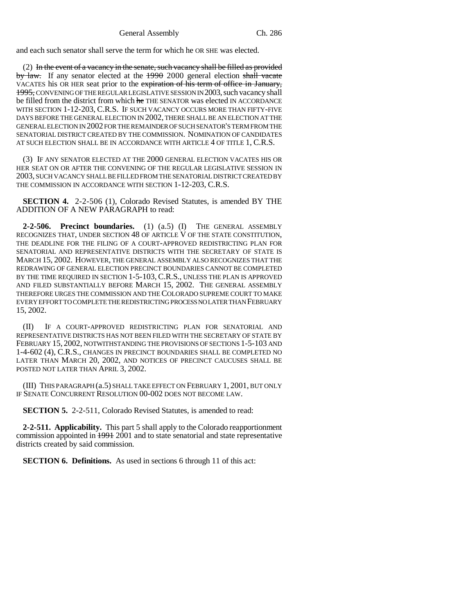and each such senator shall serve the term for which he OR SHE was elected.

(2) In the event of a vacancy in the senate, such vacancy shall be filled as provided by law. If any senator elected at the 1990 2000 general election shall vacate VACATES his OR HER seat prior to the expiration of his term of office in January, 1995, CONVENING OF THE REGULAR LEGISLATIVE SESSION IN 2003, such vacancy shall be filled from the district from which he THE SENATOR was elected IN ACCORDANCE WITH SECTION 1-12-203, C.R.S. IF SUCH VACANCY OCCURS MORE THAN FIFTY-FIVE DAYS BEFORE THE GENERAL ELECTION IN 2002, THERE SHALL BE AN ELECTION AT THE GENERAL ELECTION IN 2002 FOR THE REMAINDER OF SUCH SENATOR'S TERM FROM THE SENATORIAL DISTRICT CREATED BY THE COMMISSION. NOMINATION OF CANDIDATES AT SUCH ELECTION SHALL BE IN ACCORDANCE WITH ARTICLE 4 OF TITLE 1, C.R.S.

(3) IF ANY SENATOR ELECTED AT THE 2000 GENERAL ELECTION VACATES HIS OR HER SEAT ON OR AFTER THE CONVENING OF THE REGULAR LEGISLATIVE SESSION IN 2003, SUCH VACANCY SHALL BE FILLED FROM THE SENATORIAL DISTRICT CREATED BY THE COMMISSION IN ACCORDANCE WITH SECTION 1-12-203, C.R.S.

**SECTION 4.** 2-2-506 (1), Colorado Revised Statutes, is amended BY THE ADDITION OF A NEW PARAGRAPH to read:

**2-2-506. Precinct boundaries.** (1) (a.5) (I) THE GENERAL ASSEMBLY RECOGNIZES THAT, UNDER SECTION 48 OF ARTICLE V OF THE STATE CONSTITUTION, THE DEADLINE FOR THE FILING OF A COURT-APPROVED REDISTRICTING PLAN FOR SENATORIAL AND REPRESENTATIVE DISTRICTS WITH THE SECRETARY OF STATE IS MARCH 15, 2002. HOWEVER, THE GENERAL ASSEMBLY ALSO RECOGNIZES THAT THE REDRAWING OF GENERAL ELECTION PRECINCT BOUNDARIES CANNOT BE COMPLETED BY THE TIME REQUIRED IN SECTION 1-5-103, C.R.S., UNLESS THE PLAN IS APPROVED AND FILED SUBSTANTIALLY BEFORE MARCH 15, 2002. THE GENERAL ASSEMBLY THEREFORE URGES THE COMMISSION AND THE COLORADO SUPREME COURT TO MAKE EVERY EFFORT TO COMPLETE THE REDISTRICTING PROCESS NO LATER THAN FEBRUARY 15, 2002.

(II) IF A COURT-APPROVED REDISTRICTING PLAN FOR SENATORIAL AND REPRESENTATIVE DISTRICTS HAS NOT BEEN FILED WITH THE SECRETARY OF STATE BY FEBRUARY 15, 2002, NOTWITHSTANDING THE PROVISIONS OF SECTIONS 1-5-103 AND 1-4-602 (4), C.R.S., CHANGES IN PRECINCT BOUNDARIES SHALL BE COMPLETED NO LATER THAN MARCH 20, 2002, AND NOTICES OF PRECINCT CAUCUSES SHALL BE POSTED NOT LATER THAN APRIL 3, 2002.

(III) THIS PARAGRAPH (a.5) SHALL TAKE EFFECT ON FEBRUARY 1, 2001, BUT ONLY IF SENATE CONCURRENT RESOLUTION 00-002 DOES NOT BECOME LAW.

**SECTION 5.** 2-2-511, Colorado Revised Statutes, is amended to read:

**2-2-511. Applicability.** This part 5 shall apply to the Colorado reapportionment commission appointed in 1991 2001 and to state senatorial and state representative districts created by said commission.

**SECTION 6. Definitions.** As used in sections 6 through 11 of this act: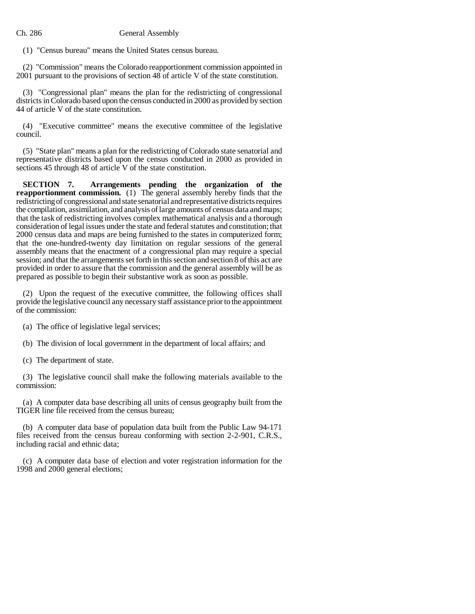### Ch. 286 General Assembly

(1) "Census bureau" means the United States census bureau.

(2) "Commission" means the Colorado reapportionment commission appointed in 2001 pursuant to the provisions of section 48 of article V of the state constitution.

(3) "Congressional plan" means the plan for the redistricting of congressional districts in Colorado based upon the census conducted in 2000 as provided by section 44 of article V of the state constitution.

(4) "Executive committee" means the executive committee of the legislative council.

(5) "State plan" means a plan for the redistricting of Colorado state senatorial and representative districts based upon the census conducted in 2000 as provided in sections 45 through 48 of article V of the state constitution.

**SECTION 7. Arrangements pending the organization of the reapportionment commission.** (1) The general assembly hereby finds that the redistricting of congressional and state senatorial and representative districts requires the compilation, assimilation, and analysis of large amounts of census data and maps; that the task of redistricting involves complex mathematical analysis and a thorough consideration of legal issues under the state and federal statutes and constitution; that 2000 census data and maps are being furnished to the states in computerized form; that the one-hundred-twenty day limitation on regular sessions of the general assembly means that the enactment of a congressional plan may require a special session; and that the arrangements set forth in this section and section 8 of this act are provided in order to assure that the commission and the general assembly will be as prepared as possible to begin their substantive work as soon as possible.

(2) Upon the request of the executive committee, the following offices shall provide the legislative council any necessary staff assistance prior to the appointment of the commission:

- (a) The office of legislative legal services;
- (b) The division of local government in the department of local affairs; and
- (c) The department of state.

(3) The legislative council shall make the following materials available to the commission:

(a) A computer data base describing all units of census geography built from the TIGER line file received from the census bureau;

(b) A computer data base of population data built from the Public Law 94-171 files received from the census bureau conforming with section 2-2-901, C.R.S., including racial and ethnic data;

(c) A computer data base of election and voter registration information for the 1998 and 2000 general elections;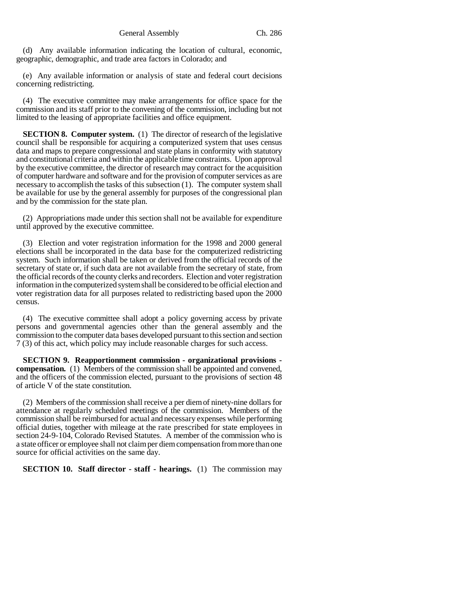(d) Any available information indicating the location of cultural, economic, geographic, demographic, and trade area factors in Colorado; and

(e) Any available information or analysis of state and federal court decisions concerning redistricting.

(4) The executive committee may make arrangements for office space for the commission and its staff prior to the convening of the commission, including but not limited to the leasing of appropriate facilities and office equipment.

**SECTION 8. Computer system.** (1) The director of research of the legislative council shall be responsible for acquiring a computerized system that uses census data and maps to prepare congressional and state plans in conformity with statutory and constitutional criteria and within the applicable time constraints. Upon approval by the executive committee, the director of research may contract for the acquisition of computer hardware and software and for the provision of computer services as are necessary to accomplish the tasks of this subsection (1). The computer system shall be available for use by the general assembly for purposes of the congressional plan and by the commission for the state plan.

(2) Appropriations made under this section shall not be available for expenditure until approved by the executive committee.

(3) Election and voter registration information for the 1998 and 2000 general elections shall be incorporated in the data base for the computerized redistricting system. Such information shall be taken or derived from the official records of the secretary of state or, if such data are not available from the secretary of state, from the official records of the county clerks and recorders. Election and voter registration information in the computerized system shall be considered to be official election and voter registration data for all purposes related to redistricting based upon the 2000 census.

(4) The executive committee shall adopt a policy governing access by private persons and governmental agencies other than the general assembly and the commission to the computer data bases developed pursuant to this section and section 7 (3) of this act, which policy may include reasonable charges for such access.

**SECTION 9. Reapportionment commission - organizational provisions compensation.** (1) Members of the commission shall be appointed and convened, and the officers of the commission elected, pursuant to the provisions of section 48 of article V of the state constitution.

(2) Members of the commission shall receive a per diem of ninety-nine dollars for attendance at regularly scheduled meetings of the commission. Members of the commission shall be reimbursed for actual and necessary expenses while performing official duties, together with mileage at the rate prescribed for state employees in section 24-9-104, Colorado Revised Statutes. A member of the commission who is a state officer or employee shall not claim per diem compensation from more than one source for official activities on the same day.

**SECTION 10. Staff director - staff - hearings.** (1) The commission may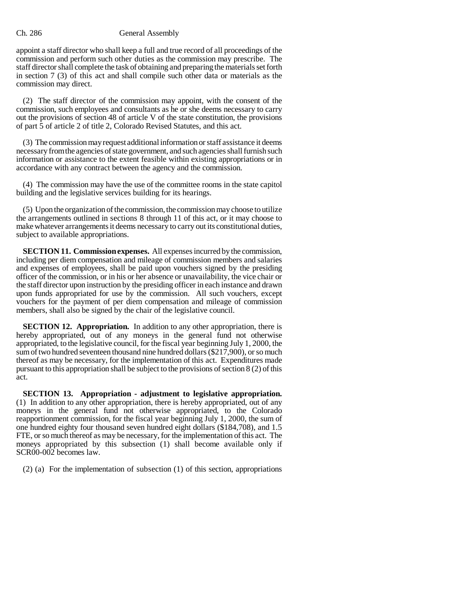#### Ch. 286 General Assembly

appoint a staff director who shall keep a full and true record of all proceedings of the commission and perform such other duties as the commission may prescribe. The staff director shall complete the task of obtaining and preparing the materials set forth in section 7 (3) of this act and shall compile such other data or materials as the commission may direct.

(2) The staff director of the commission may appoint, with the consent of the commission, such employees and consultants as he or she deems necessary to carry out the provisions of section 48 of article V of the state constitution, the provisions of part 5 of article 2 of title 2, Colorado Revised Statutes, and this act.

(3) The commission may request additional information or staff assistance it deems necessary from the agencies of state government, and such agencies shall furnish such information or assistance to the extent feasible within existing appropriations or in accordance with any contract between the agency and the commission.

(4) The commission may have the use of the committee rooms in the state capitol building and the legislative services building for its hearings.

(5) Upon the organization of the commission, the commission may choose to utilize the arrangements outlined in sections 8 through 11 of this act, or it may choose to make whatever arrangements it deems necessary to carry out its constitutional duties, subject to available appropriations.

**SECTION 11. Commission expenses.** All expenses incurred by the commission, including per diem compensation and mileage of commission members and salaries and expenses of employees, shall be paid upon vouchers signed by the presiding officer of the commission, or in his or her absence or unavailability, the vice chair or the staff director upon instruction by the presiding officer in each instance and drawn upon funds appropriated for use by the commission. All such vouchers, except vouchers for the payment of per diem compensation and mileage of commission members, shall also be signed by the chair of the legislative council.

**SECTION 12. Appropriation.** In addition to any other appropriation, there is hereby appropriated, out of any moneys in the general fund not otherwise appropriated, to the legislative council, for the fiscal year beginning July 1, 2000, the sum of two hundred seventeen thousand nine hundred dollars (\$217,900), or so much thereof as may be necessary, for the implementation of this act. Expenditures made pursuant to this appropriation shall be subject to the provisions of section 8 (2) of this act.

**SECTION 13. Appropriation - adjustment to legislative appropriation.** (1) In addition to any other appropriation, there is hereby appropriated, out of any moneys in the general fund not otherwise appropriated, to the Colorado reapportionment commission, for the fiscal year beginning July 1, 2000, the sum of one hundred eighty four thousand seven hundred eight dollars (\$184,708), and 1.5 FTE, or so much thereof as may be necessary, for the implementation of this act. The moneys appropriated by this subsection (1) shall become available only if SCR00-002 becomes law.

(2) (a) For the implementation of subsection (1) of this section, appropriations